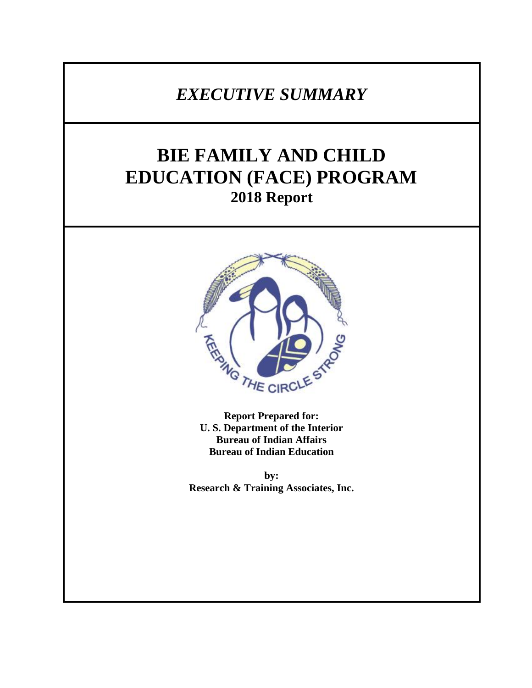## *EXECUTIVE SUMMARY*

# **BIE FAMILY AND CHILD EDUCATION (FACE) PROGRAM 2018 Report**



**Report Prepared for: U. S. Department of the Interior Bureau of Indian Affairs Bureau of Indian Education**

**by: Research & Training Associates, Inc.**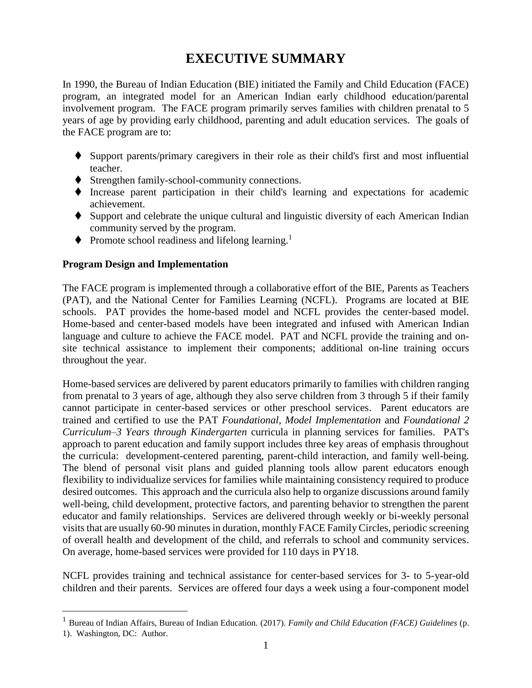### **EXECUTIVE SUMMARY**

In 1990, the Bureau of Indian Education (BIE) initiated the Family and Child Education (FACE) program, an integrated model for an American Indian early childhood education/parental involvement program. The FACE program primarily serves families with children prenatal to 5 years of age by providing early childhood, parenting and adult education services. The goals of the FACE program are to:

- ⧫ Support parents/primary caregivers in their role as their child's first and most influential teacher.
- ♦ Strengthen family-school-community connections.
- ⧫ Increase parent participation in their child's learning and expectations for academic achievement.
- ♦ Support and celebrate the unique cultural and linguistic diversity of each American Indian community served by the program.
- $\blacklozenge$  Promote school readiness and lifelong learning.<sup>1</sup>

#### **Program Design and Implementation**

 $\overline{a}$ 

The FACE program is implemented through a collaborative effort of the BIE, Parents as Teachers (PAT), and the National Center for Families Learning (NCFL). Programs are located at BIE schools. PAT provides the home-based model and NCFL provides the center-based model. Home-based and center-based models have been integrated and infused with American Indian language and culture to achieve the FACE model. PAT and NCFL provide the training and onsite technical assistance to implement their components; additional on-line training occurs throughout the year.

Home-based services are delivered by parent educators primarily to families with children ranging from prenatal to 3 years of age, although they also serve children from 3 through 5 if their family cannot participate in center-based services or other preschool services. Parent educators are trained and certified to use the PAT *Foundational, Model Implementation* and *Foundational 2 Curriculum–3 Years through Kindergarten* curricula in planning services for families. PAT's approach to parent education and family support includes three key areas of emphasis throughout the curricula: development-centered parenting, parent-child interaction, and family well-being. The blend of personal visit plans and guided planning tools allow parent educators enough flexibility to individualize services for families while maintaining consistency required to produce desired outcomes. This approach and the curricula also help to organize discussions around family well-being, child development, protective factors, and parenting behavior to strengthen the parent educator and family relationships. Services are delivered through weekly or bi-weekly personal visits that are usually 60-90 minutes in duration, monthly FACE Family Circles, periodic screening of overall health and development of the child, and referrals to school and community services. On average, home-based services were provided for 110 days in PY18.

NCFL provides training and technical assistance for center-based services for 3- to 5-year-old children and their parents. Services are offered four days a week using a four-component model

<sup>1</sup> Bureau of Indian Affairs, Bureau of Indian Education. (2017). *Family and Child Education (FACE) Guidelines* (p. 1). Washington, DC: Author.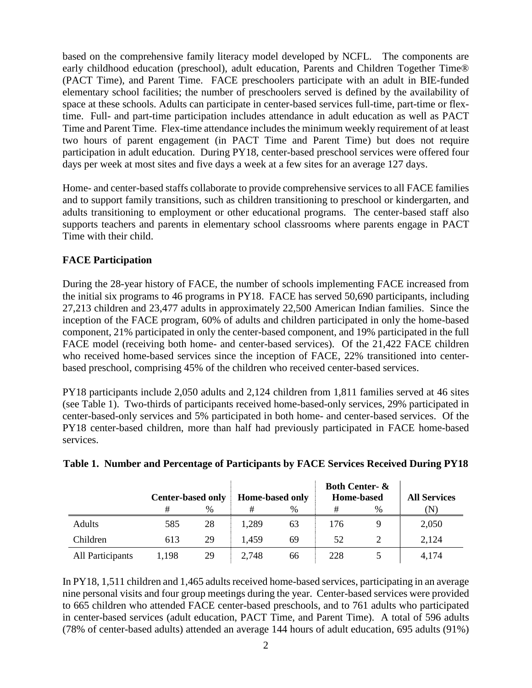based on the comprehensive family literacy model developed by NCFL. The components are early childhood education (preschool), adult education, Parents and Children Together Time® (PACT Time), and Parent Time. FACE preschoolers participate with an adult in BIE-funded elementary school facilities; the number of preschoolers served is defined by the availability of space at these schools. Adults can participate in center-based services full-time, part-time or flextime. Full- and part-time participation includes attendance in adult education as well as PACT Time and Parent Time. Flex-time attendance includes the minimum weekly requirement of at least two hours of parent engagement (in PACT Time and Parent Time) but does not require participation in adult education. During PY18, center-based preschool services were offered four days per week at most sites and five days a week at a few sites for an average 127 days.

Home- and center-based staffs collaborate to provide comprehensive services to all FACE families and to support family transitions, such as children transitioning to preschool or kindergarten, and adults transitioning to employment or other educational programs. The center-based staff also supports teachers and parents in elementary school classrooms where parents engage in PACT Time with their child.

#### **FACE Participation**

During the 28-year history of FACE, the number of schools implementing FACE increased from the initial six programs to 46 programs in PY18. FACE has served 50,690 participants, including 27,213 children and 23,477 adults in approximately 22,500 American Indian families. Since the inception of the FACE program, 60% of adults and children participated in only the home-based component, 21% participated in only the center-based component, and 19% participated in the full FACE model (receiving both home- and center-based services). Of the 21,422 FACE children who received home-based services since the inception of FACE, 22% transitioned into centerbased preschool, comprising 45% of the children who received center-based services.

PY18 participants include 2,050 adults and 2,124 children from 1,811 families served at 46 sites (see Table 1). Two-thirds of participants received home-based-only services, 29% participated in center-based-only services and 5% participated in both home- and center-based services. Of the PY18 center-based children, more than half had previously participated in FACE home-based services.

|                  | <b>Center-based only</b> |    | <b>Home-based only</b> |      | <b>Both Center- &amp;</b><br><b>Home-based</b> |      | <b>All Services</b> |
|------------------|--------------------------|----|------------------------|------|------------------------------------------------|------|---------------------|
|                  | #                        | %  | #                      | $\%$ | #                                              | $\%$ | N)                  |
| <b>Adults</b>    | 585                      | 28 | 1,289                  | 63   | 176                                            |      | 2,050               |
| Children         | 613                      | 29 | 1.459                  | 69   | 52                                             |      | 2,124               |
| All Participants | 1,198                    | 29 | 2,748                  | 66   | 228                                            |      | 4,174               |

#### **Table 1. Number and Percentage of Participants by FACE Services Received During PY18**

In PY18, 1,511 children and 1,465 adults received home-based services, participating in an average nine personal visits and four group meetings during the year. Center-based services were provided to 665 children who attended FACE center-based preschools, and to 761 adults who participated in center-based services (adult education, PACT Time, and Parent Time). A total of 596 adults (78% of center-based adults) attended an average 144 hours of adult education, 695 adults (91%)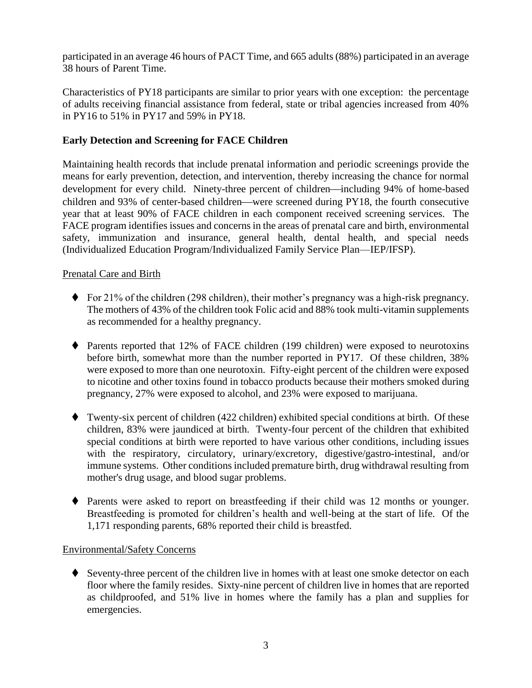participated in an average 46 hours of PACT Time, and 665 adults (88%) participated in an average 38 hours of Parent Time.

Characteristics of PY18 participants are similar to prior years with one exception: the percentage of adults receiving financial assistance from federal, state or tribal agencies increased from 40% in PY16 to 51% in PY17 and 59% in PY18.

#### **Early Detection and Screening for FACE Children**

Maintaining health records that include prenatal information and periodic screenings provide the means for early prevention, detection, and intervention, thereby increasing the chance for normal development for every child. Ninety-three percent of children—including 94% of home-based children and 93% of center-based children—were screened during PY18, the fourth consecutive year that at least 90% of FACE children in each component received screening services. The FACE program identifies issues and concerns in the areas of prenatal care and birth, environmental safety, immunization and insurance, general health, dental health, and special needs (Individualized Education Program/Individualized Family Service Plan—IEP/IFSP).

#### Prenatal Care and Birth

- ⧫ For 21% of the children (298 children), their mother's pregnancy was a high-risk pregnancy. The mothers of 43% of the children took Folic acid and 88% took multi-vitamin supplements as recommended for a healthy pregnancy.
- ◆ Parents reported that 12% of FACE children (199 children) were exposed to neurotoxins before birth, somewhat more than the number reported in PY17. Of these children, 38% were exposed to more than one neurotoxin. Fifty-eight percent of the children were exposed to nicotine and other toxins found in tobacco products because their mothers smoked during pregnancy, 27% were exposed to alcohol, and 23% were exposed to marijuana.
- ⧫ Twenty-six percent of children (422 children) exhibited special conditions at birth. Of these children, 83% were jaundiced at birth. Twenty-four percent of the children that exhibited special conditions at birth were reported to have various other conditions, including issues with the respiratory, circulatory, urinary/excretory, digestive/gastro-intestinal, and/or immune systems. Other conditions included premature birth, drug withdrawal resulting from mother's drug usage, and blood sugar problems.
- ⧫ Parents were asked to report on breastfeeding if their child was 12 months or younger. Breastfeeding is promoted for children's health and well-being at the start of life. Of the 1,171 responding parents, 68% reported their child is breastfed.

#### Environmental/Safety Concerns

♦ Seventy-three percent of the children live in homes with at least one smoke detector on each floor where the family resides. Sixty-nine percent of children live in homes that are reported as childproofed, and 51% live in homes where the family has a plan and supplies for emergencies.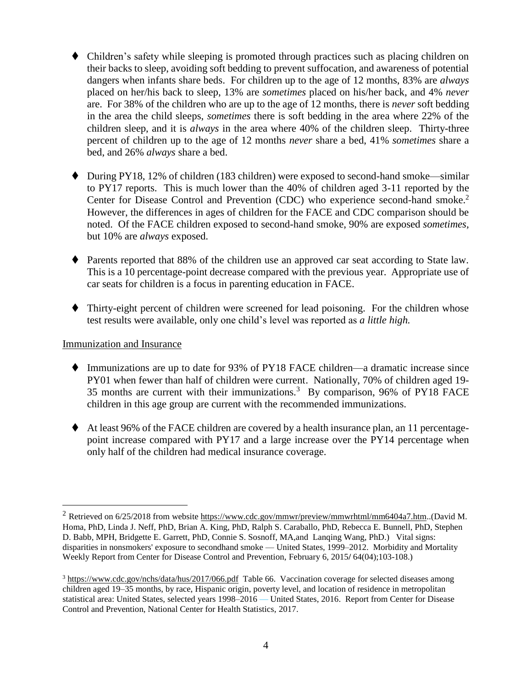- Children's safety while sleeping is promoted through practices such as placing children on their backs to sleep, avoiding soft bedding to prevent suffocation, and awareness of potential dangers when infants share beds. For children up to the age of 12 months, 83% are *always* placed on her/his back to sleep, 13% are *sometimes* placed on his/her back, and 4% *never* are. For 38% of the children who are up to the age of 12 months, there is *never* soft bedding in the area the child sleeps, *sometimes* there is soft bedding in the area where 22% of the children sleep, and it is *always* in the area where 40% of the children sleep. Thirty-three percent of children up to the age of 12 months *never* share a bed, 41% *sometimes* share a bed, and 26% *always* share a bed.
- ◆ During PY18, 12% of children (183 children) were exposed to second-hand smoke—similar to PY17 reports. This is much lower than the 40% of children aged 3-11 reported by the Center for Disease Control and Prevention (CDC) who experience second-hand smoke.<sup>2</sup> However, the differences in ages of children for the FACE and CDC comparison should be noted. Of the FACE children exposed to second-hand smoke, 90% are exposed *sometimes,* but 10% are *always* exposed.
- ◆ Parents reported that 88% of the children use an approved car seat according to State law. This is a 10 percentage-point decrease compared with the previous year. Appropriate use of car seats for children is a focus in parenting education in FACE.
- ◆ Thirty-eight percent of children were screened for lead poisoning. For the children whose test results were available, only one child's level was reported as *a little high.*

#### Immunization and Insurance

- ⧫ Immunizations are up to date for 93% of PY18 FACE children—a dramatic increase since PY01 when fewer than half of children were current. Nationally, 70% of children aged 19- 35 months are current with their immunizations.<sup>3</sup> By comparison, 96% of PY18 FACE children in this age group are current with the recommended immunizations.
- $\blacklozenge$  At least 96% of the FACE children are covered by a health insurance plan, an 11 percentagepoint increase compared with PY17 and a large increase over the PY14 percentage when only half of the children had medical insurance coverage.

<sup>2</sup> Retrieved on 6/25/2018 from website [https://www.cdc.gov/mmwr/preview/mmwrhtml/mm6404a7.htm.](https://www.cdc.gov/mmwr/preview/mmwrhtml/mm6404a7.htm).(David M. Homa, PhD, Linda J. Neff, PhD, Brian A. King, PhD, Ralph S. Caraballo, PhD, Rebecca E. Bunnell, PhD, Stephen D. Babb, MPH, Bridgette E. Garrett, PhD, Connie S. Sosnoff, MA,and Lanqing Wang, PhD.) Vital signs: disparities in nonsmokers' exposure to secondhand smoke — United States, 1999–2012. Morbidity and Mortality Weekly Report from Center for Disease Control and Prevention, February 6, 2015**/** 64(04);103-108.)

<sup>&</sup>lt;sup>3</sup> <https://www.cdc.gov/nchs/data/hus/2017/066.pdf>Table 66. Vaccination coverage for selected diseases among children aged 19–35 months, by race, Hispanic origin, poverty level, and location of residence in metropolitan statistical area: United States, selected years 1998–2016 — United States, 2016. Report from Center for Disease Control and Prevention, National Center for Health Statistics, 2017.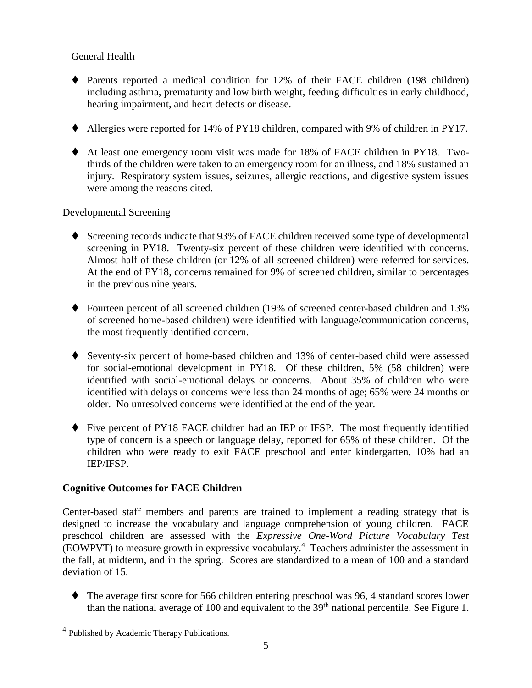#### General Health

- ◆ Parents reported a medical condition for 12% of their FACE children (198 children) including asthma, prematurity and low birth weight, feeding difficulties in early childhood, hearing impairment, and heart defects or disease.
- ⧫ Allergies were reported for 14% of PY18 children, compared with 9% of children in PY17.
- ⧫ At least one emergency room visit was made for 18% of FACE children in PY18. Twothirds of the children were taken to an emergency room for an illness, and 18% sustained an injury. Respiratory system issues, seizures, allergic reactions, and digestive system issues were among the reasons cited.

#### Developmental Screening

- ◆ Screening records indicate that 93% of FACE children received some type of developmental screening in PY18. Twenty-six percent of these children were identified with concerns. Almost half of these children (or 12% of all screened children) were referred for services. At the end of PY18, concerns remained for 9% of screened children, similar to percentages in the previous nine years.
- ⧫ Fourteen percent of all screened children (19% of screened center-based children and 13% of screened home-based children) were identified with language/communication concerns, the most frequently identified concern.
- ⧫ Seventy-six percent of home-based children and 13% of center-based child were assessed for social-emotional development in PY18. Of these children, 5% (58 children) were identified with social-emotional delays or concerns. About 35% of children who were identified with delays or concerns were less than 24 months of age; 65% were 24 months or older. No unresolved concerns were identified at the end of the year.
- ◆ Five percent of PY18 FACE children had an IEP or IFSP. The most frequently identified type of concern is a speech or language delay, reported for 65% of these children. Of the children who were ready to exit FACE preschool and enter kindergarten, 10% had an IEP/IFSP.

#### **Cognitive Outcomes for FACE Children**

Center-based staff members and parents are trained to implement a reading strategy that is designed to increase the vocabulary and language comprehension of young children. FACE preschool children are assessed with the *Expressive One-Word Picture Vocabulary Test* (EOWPVT) to measure growth in expressive vocabulary. 4 Teachers administer the assessment in the fall, at midterm, and in the spring. Scores are standardized to a mean of 100 and a standard deviation of 15.

⧫ The average first score for 566 children entering preschool was 96, 4 standard scores lower than the national average of 100 and equivalent to the 39<sup>th</sup> national percentile. See Figure 1.

<sup>&</sup>lt;sup>4</sup> Published by Academic Therapy Publications.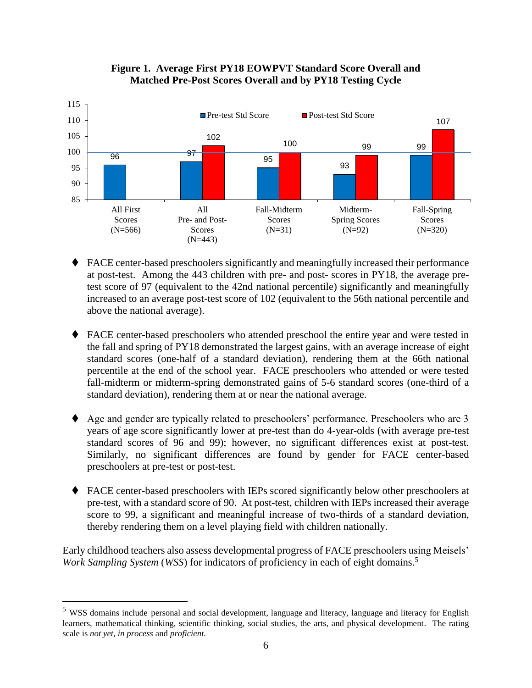

#### **Figure 1. Average First PY18 EOWPVT Standard Score Overall and Matched Pre-Post Scores Overall and by PY18 Testing Cycle**

- FACE center-based preschoolers significantly and meaningfully increased their performance at post-test. Among the 443 children with pre- and post- scores in PY18, the average pretest score of 97 (equivalent to the 42nd national percentile) significantly and meaningfully increased to an average post-test score of 102 (equivalent to the 56th national percentile and above the national average).
- ♦ FACE center-based preschoolers who attended preschool the entire year and were tested in the fall and spring of PY18 demonstrated the largest gains, with an average increase of eight standard scores (one-half of a standard deviation), rendering them at the 66th national percentile at the end of the school year. FACE preschoolers who attended or were tested fall-midterm or midterm-spring demonstrated gains of 5-6 standard scores (one-third of a standard deviation), rendering them at or near the national average.
- Age and gender are typically related to preschoolers' performance. Preschoolers who are 3 years of age score significantly lower at pre-test than do 4-year-olds (with average pre-test standard scores of 96 and 99); however, no significant differences exist at post-test. Similarly, no significant differences are found by gender for FACE center-based preschoolers at pre-test or post-test.
- ◆ FACE center-based preschoolers with IEPs scored significantly below other preschoolers at pre-test, with a standard score of 90. At post-test, children with IEPs increased their average score to 99, a significant and meaningful increase of two-thirds of a standard deviation, thereby rendering them on a level playing field with children nationally.

Early childhood teachers also assess developmental progress of FACE preschoolers using Meisels' *Work Sampling System* (*WSS*) for indicators of proficiency in each of eight domains.<sup>5</sup>

<sup>5</sup> WSS domains include personal and social development, language and literacy, language and literacy for English learners, mathematical thinking, scientific thinking, social studies, the arts, and physical development. The rating scale is *not yet, in process* and *proficient.*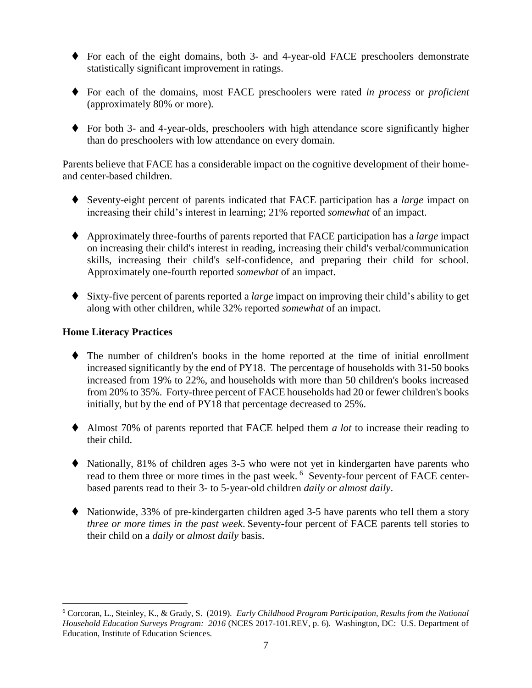- ◆ For each of the eight domains, both 3- and 4-year-old FACE preschoolers demonstrate statistically significant improvement in ratings.
- ⧫ For each of the domains, most FACE preschoolers were rated *in process* or *proficient* (approximately 80% or more)*.*
- ◆ For both 3- and 4-year-olds, preschoolers with high attendance score significantly higher than do preschoolers with low attendance on every domain.

Parents believe that FACE has a considerable impact on the cognitive development of their homeand center-based children.

- ⧫ Seventy-eight percent of parents indicated that FACE participation has a *large* impact on increasing their child's interest in learning; 21% reported *somewhat* of an impact.
- ⧫ Approximately three-fourths of parents reported that FACE participation has a *large* impact on increasing their child's interest in reading, increasing their child's verbal/communication skills, increasing their child's self-confidence, and preparing their child for school. Approximately one-fourth reported *somewhat* of an impact.
- ⧫ Sixty-five percent of parents reported a *large* impact on improving their child's ability to get along with other children, while 32% reported *somewhat* of an impact.

#### **Home Literacy Practices**

- ⧫ The number of children's books in the home reported at the time of initial enrollment increased significantly by the end of PY18. The percentage of households with 31-50 books increased from 19% to 22%, and households with more than 50 children's books increased from 20% to 35%. Forty-three percent of FACE households had 20 or fewer children's books initially, but by the end of PY18 that percentage decreased to 25%.
- ⧫ Almost 70% of parents reported that FACE helped them *a lot* to increase their reading to their child.
- ◆ Nationally, 81% of children ages 3-5 who were not yet in kindergarten have parents who read to them three or more times in the past week. <sup>6</sup> Seventy-four percent of FACE centerbased parents read to their 3- to 5-year-old children *daily or almost daily*.
- ◆ Nationwide, 33% of pre-kindergarten children aged 3-5 have parents who tell them a story *three or more times in the past week*. Seventy-four percent of FACE parents tell stories to their child on a *daily* or *almost daily* basis.

<sup>6</sup> Corcoran, L., Steinley, K., & Grady, S. (2019). *Early Childhood Program Participation, Results from the National Household Education Surveys Program: 2016* (NCES 2017-101.REV, p. 6). Washington, DC: U.S. Department of Education, Institute of Education Sciences.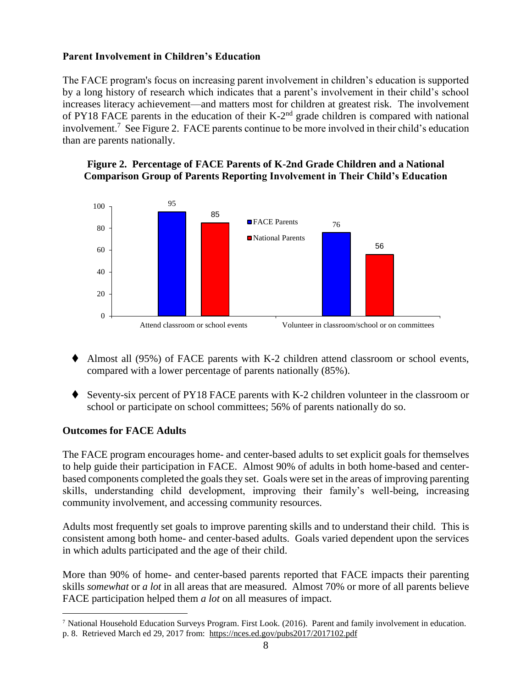#### **Parent Involvement in Children's Education**

The FACE program's focus on increasing parent involvement in children's education is supported by a long history of research which indicates that a parent's involvement in their child's school increases literacy achievement—and matters most for children at greatest risk*.* The involvement of PY18 FACE parents in the education of their  $K-2<sup>nd</sup>$  grade children is compared with national involvement.<sup>7</sup> See Figure 2. FACE parents continue to be more involved in their child's education than are parents nationally.

#### **Figure 2. Percentage of FACE Parents of K-2nd Grade Children and a National Comparison Group of Parents Reporting Involvement in Their Child's Education**



- Almost all  $(95%)$  of FACE parents with K-2 children attend classroom or school events, compared with a lower percentage of parents nationally (85%).
- ◆ Seventy-six percent of PY18 FACE parents with K-2 children volunteer in the classroom or school or participate on school committees; 56% of parents nationally do so.

#### **Outcomes for FACE Adults**

 $\overline{a}$ 

The FACE program encourages home- and center-based adults to set explicit goals for themselves to help guide their participation in FACE. Almost 90% of adults in both home-based and centerbased components completed the goals they set. Goals were set in the areas of improving parenting skills, understanding child development, improving their family's well-being, increasing community involvement, and accessing community resources.

Adults most frequently set goals to improve parenting skills and to understand their child. This is consistent among both home- and center-based adults. Goals varied dependent upon the services in which adults participated and the age of their child.

More than 90% of home- and center-based parents reported that FACE impacts their parenting skills *somewhat* or *a lot* in all areas that are measured. Almost 70% or more of all parents believe FACE participation helped them *a lot* on all measures of impact.

<sup>7</sup> National Household Education Surveys Program. First Look. (2016). Parent and family involvement in education. p. 8. Retrieved March ed 29, 2017 from: https://nces.ed.gov/pubs2017/2017102.pdf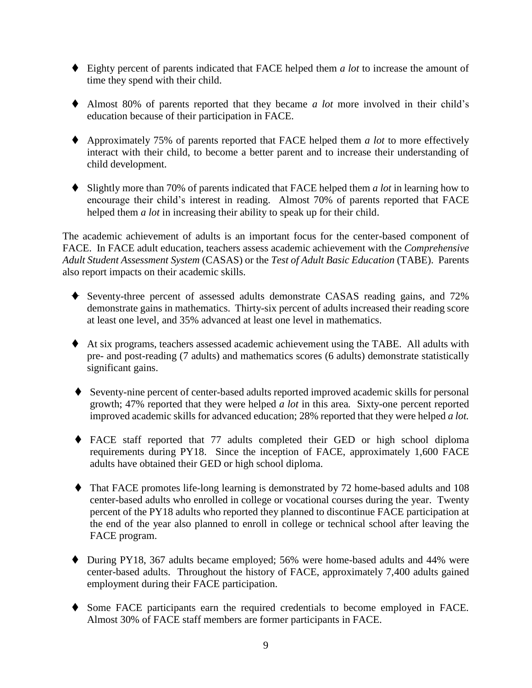- ⧫ Eighty percent of parents indicated that FACE helped them *a lot* to increase the amount of time they spend with their child.
- ⧫ Almost 80% of parents reported that they became *a lot* more involved in their child's education because of their participation in FACE.
- ⧫ Approximately 75% of parents reported that FACE helped them *a lot* to more effectively interact with their child, to become a better parent and to increase their understanding of child development.
- ⧫ Slightly more than 70% of parents indicated that FACE helped them *a lot* in learning how to encourage their child's interest in reading. Almost 70% of parents reported that FACE helped them *a lot* in increasing their ability to speak up for their child.

The academic achievement of adults is an important focus for the center-based component of FACE. In FACE adult education, teachers assess academic achievement with the *Comprehensive Adult Student Assessment System* (CASAS) or the *Test of Adult Basic Education* (TABE). Parents also report impacts on their academic skills.

- ⧫ Seventy-three percent of assessed adults demonstrate CASAS reading gains, and 72% demonstrate gains in mathematics. Thirty-six percent of adults increased their reading score at least one level, and 35% advanced at least one level in mathematics.
- ⧫ At six programs, teachers assessed academic achievement using the TABE. All adults with pre- and post-reading (7 adults) and mathematics scores (6 adults) demonstrate statistically significant gains.
- ⧫ Seventy-nine percent of center-based adults reported improved academic skills for personal growth; 47% reported that they were helped *a lot* in this area*.* Sixty-one percent reported improved academic skills for advanced education; 28% reported that they were helped *a lot.*
- ⧫ FACE staff reported that 77 adults completed their GED or high school diploma requirements during PY18. Since the inception of FACE, approximately 1,600 FACE adults have obtained their GED or high school diploma.
- ⧫ That FACE promotes life-long learning is demonstrated by 72 home-based adults and 108 center-based adults who enrolled in college or vocational courses during the year. Twenty percent of the PY18 adults who reported they planned to discontinue FACE participation at the end of the year also planned to enroll in college or technical school after leaving the FACE program.
- ⧫ During PY18, 367 adults became employed; 56% were home-based adults and 44% were center-based adults. Throughout the history of FACE, approximately 7,400 adults gained employment during their FACE participation.
- ⧫ Some FACE participants earn the required credentials to become employed in FACE. Almost 30% of FACE staff members are former participants in FACE.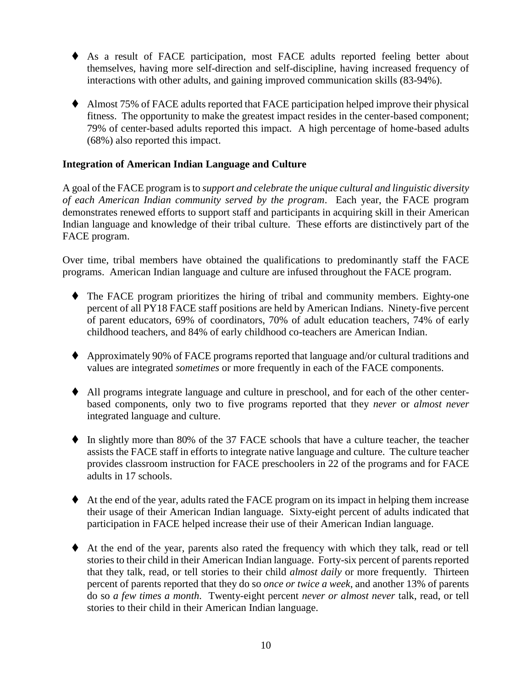- ⧫ As a result of FACE participation, most FACE adults reported feeling better about themselves, having more self-direction and self-discipline, having increased frequency of interactions with other adults, and gaining improved communication skills (83-94%).
- ♦ Almost 75% of FACE adults reported that FACE participation helped improve their physical fitness. The opportunity to make the greatest impact resides in the center-based component; 79% of center-based adults reported this impact. A high percentage of home-based adults (68%) also reported this impact.

#### **Integration of American Indian Language and Culture**

A goal of the FACE program is to *support and celebrate the unique cultural and linguistic diversity of each American Indian community served by the program*. Each year, the FACE program demonstrates renewed efforts to support staff and participants in acquiring skill in their American Indian language and knowledge of their tribal culture. These efforts are distinctively part of the FACE program.

Over time, tribal members have obtained the qualifications to predominantly staff the FACE programs. American Indian language and culture are infused throughout the FACE program.

- ◆ The FACE program prioritizes the hiring of tribal and community members. Eighty-one percent of all PY18 FACE staff positions are held by American Indians. Ninety-five percent of parent educators, 69% of coordinators, 70% of adult education teachers, 74% of early childhood teachers, and 84% of early childhood co-teachers are American Indian.
- ⧫ Approximately 90% of FACE programs reported that language and/or cultural traditions and values are integrated *sometimes* or more frequently in each of the FACE components.
- ⧫ All programs integrate language and culture in preschool, and for each of the other centerbased components, only two to five programs reported that they *never* or *almost never* integrated language and culture.
- ◆ In slightly more than 80% of the 37 FACE schools that have a culture teacher, the teacher assists the FACE staff in efforts to integrate native language and culture. The culture teacher provides classroom instruction for FACE preschoolers in 22 of the programs and for FACE adults in 17 schools.
- ⧫ At the end of the year, adults rated the FACE program on its impact in helping them increase their usage of their American Indian language. Sixty-eight percent of adults indicated that participation in FACE helped increase their use of their American Indian language.
- ⧫ At the end of the year, parents also rated the frequency with which they talk, read or tell stories to their child in their American Indian language. Forty-six percent of parents reported that they talk, read, or tell stories to their child *almost daily* or more frequently*.* Thirteen percent of parents reported that they do so *once or twice a week*, and another 13% of parents do so *a few times a month.* Twenty-eight percent *never or almost never* talk, read, or tell stories to their child in their American Indian language.